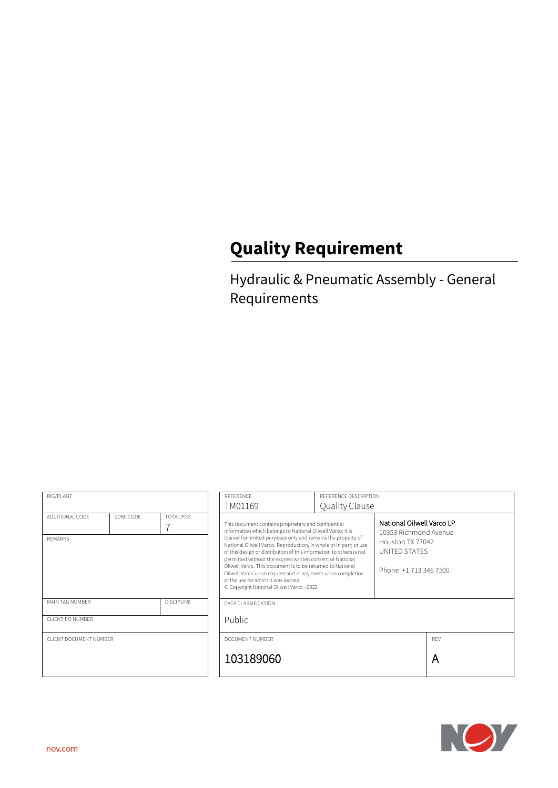# **Quality Requirement**

Hydraulic & Pneumatic Assembly - General Requirements

| RIG/PLANT                            |           |                     | <b>REFERENCE</b>                                                                                                                                                                                                                                                                                                                                                                                                                                                                                                                                                                                            | REFERENCE DESCRIPTION |                                                                                                                  |  |
|--------------------------------------|-----------|---------------------|-------------------------------------------------------------------------------------------------------------------------------------------------------------------------------------------------------------------------------------------------------------------------------------------------------------------------------------------------------------------------------------------------------------------------------------------------------------------------------------------------------------------------------------------------------------------------------------------------------------|-----------------------|------------------------------------------------------------------------------------------------------------------|--|
|                                      |           |                     | TM01169                                                                                                                                                                                                                                                                                                                                                                                                                                                                                                                                                                                                     |                       | Quality Clause                                                                                                   |  |
| ADDITIONAL CODE<br><b>REMARKS</b>    | SDRI CODE | TOTAL PGS           | This document contains proprietary and confidential<br>information which belongs to National Oilwell Varco; it is<br>loaned for limited purposes only and remains the property of<br>National Oilwell Varco. Reproduction, in whole or in part; or use<br>of this design or distribution of this information to others is not<br>permitted without the express written consent of National<br>Oilwell Varco. This document is to be returned to National<br>Oilwell Varco upon request and in any event upon completion<br>of the use for which it was loaned.<br>© Copyright National Oilwell Varco - 2022 |                       | National Oilwell Varco LP<br>10353 Richmond Avenue<br>Houston TX 77042<br>UNITED STATES<br>Phone +1 713 346 7500 |  |
| MAIN TAG NUMBER<br><b>DISCIPLINE</b> |           | DATA CLASSIFICATION |                                                                                                                                                                                                                                                                                                                                                                                                                                                                                                                                                                                                             |                       |                                                                                                                  |  |
| CLIENT PO NUMBER                     |           | <b>Public</b>       |                                                                                                                                                                                                                                                                                                                                                                                                                                                                                                                                                                                                             |                       |                                                                                                                  |  |
| CLIENT DOCUMENT NUMBER               |           | DOCUMENT NUMBER     |                                                                                                                                                                                                                                                                                                                                                                                                                                                                                                                                                                                                             |                       | RFV                                                                                                              |  |
|                                      |           | 103189060           |                                                                                                                                                                                                                                                                                                                                                                                                                                                                                                                                                                                                             |                       | A                                                                                                                |  |

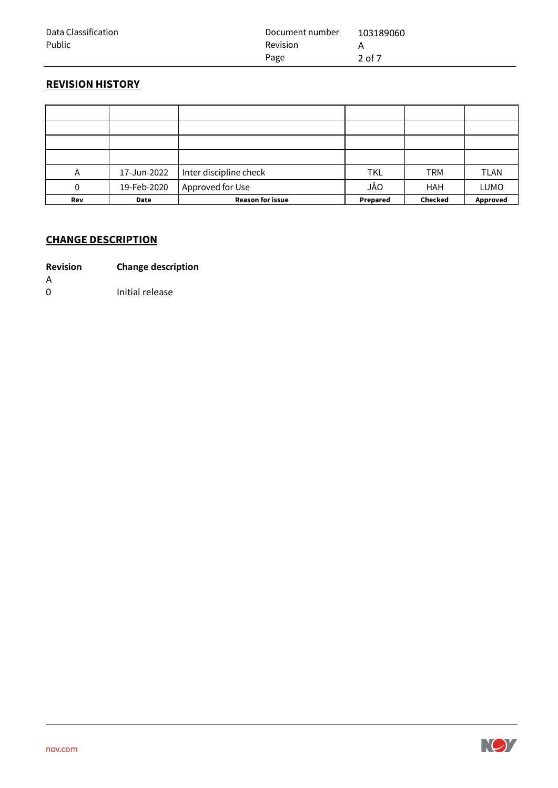| Data Classification | Document number | 103189060 |
|---------------------|-----------------|-----------|
| Public              | Revision        |           |
|                     | Page            | 2 of 7    |

# **REVISION HISTORY**

| Α   | 17-Jun-2022 | Inter discipline check  | <b>TKL</b> | <b>TRM</b>     | <b>TLAN</b> |
|-----|-------------|-------------------------|------------|----------------|-------------|
| 0   | 19-Feb-2020 | Approved for Use        | JÅO        | <b>HAH</b>     | LUMO        |
| Rev | Date        | <b>Reason for issue</b> | Prepared   | <b>Checked</b> | Approved    |

## **CHANGE DESCRIPTION**

- **Revision Change description**
- A
- 0 Initial release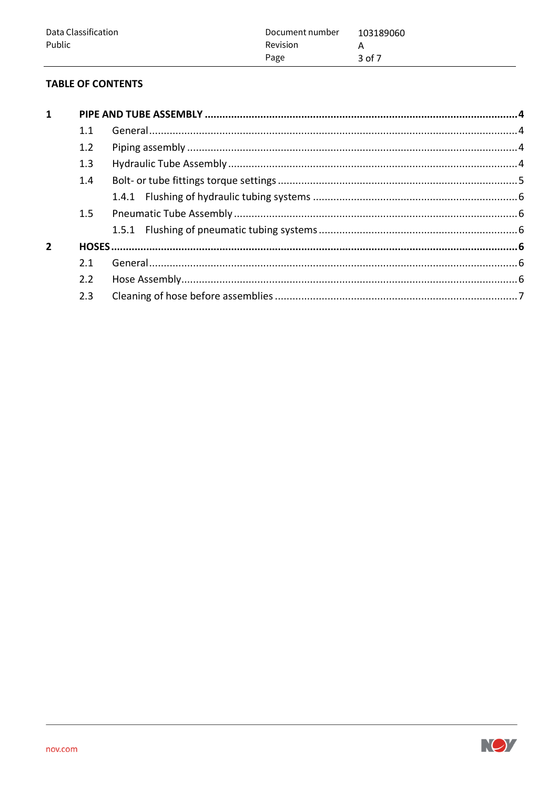| Data Classification | Document number | 103189060 |
|---------------------|-----------------|-----------|
| Public              | <b>Revision</b> |           |
|                     | Page            | 3 of 7    |

# **TABLE OF CONTENTS**

| $\mathbf{1}$ |     |  |  |  |
|--------------|-----|--|--|--|
|              | 1.1 |  |  |  |
|              | 1.2 |  |  |  |
|              | 1.3 |  |  |  |
|              | 1.4 |  |  |  |
|              |     |  |  |  |
|              | 1.5 |  |  |  |
|              |     |  |  |  |
|              |     |  |  |  |
|              | 2.1 |  |  |  |
|              | 2.2 |  |  |  |
|              | 2.3 |  |  |  |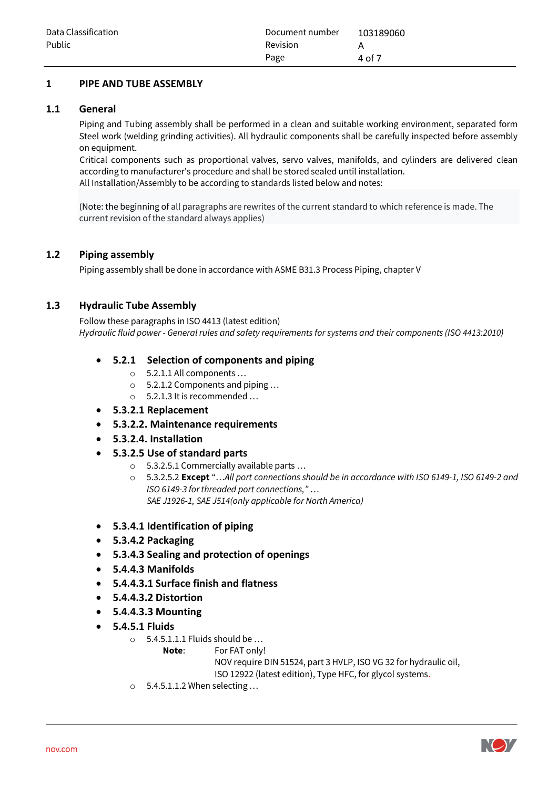#### <span id="page-3-0"></span>**1 PIPE AND TUBE ASSEMBLY**

#### <span id="page-3-1"></span>**1.1 General**

Piping and Tubing assembly shall be performed in a clean and suitable working environment, separated form Steel work (welding grinding activities). All hydraulic components shall be carefully inspected before assembly on equipment.

Critical components such as proportional valves, servo valves, manifolds, and cylinders are delivered clean according to manufacturer's procedure and shall be stored sealed until installation. All Installation/Assembly to be according to standards listed below and notes:

(Note: the beginning of all paragraphs are rewrites of the current standard to which reference is made. The current revision of the standard always applies)

#### <span id="page-3-2"></span>**1.2 Piping assembly**

Piping assembly shall be done in accordance with ASME B31.3 Process Piping, chapter V

#### <span id="page-3-3"></span>**1.3 Hydraulic Tube Assembly**

Follow these paragraphs in ISO 4413 (latest edition) *Hydraulic fluid power - General rules and safety requirements for systems and their components (ISO 4413:2010)*

#### • **5.2.1 Selection of components and piping**

- o 5.2.1.1 All components …
- o 5.2.1.2 Components and piping …
- o 5.2.1.3 It is recommended …
- **5.3.2.1 Replacement**
- **5.3.2.2. Maintenance requirements**
- **5.3.2.4. Installation**
- **5.3.2.5 Use of standard parts**
	- o 5.3.2.5.1 Commercially available parts …
	- o 5.3.2.5.2 **Except** "…*All port connections should be in accordance with ISO 6149-1, ISO 6149-2 and ISO 6149-3 for threaded port connections,"* … *SAE J1926-1, SAE J514(only applicable for North America)*
- **5.3.4.1 Identification of piping**
- **5.3.4.2 Packaging**
- **5.3.4.3 Sealing and protection of openings**
- **5.4.4.3 Manifolds**
- **5.4.4.3.1 Surface finish and flatness**
- **5.4.4.3.2 Distortion**
- **5.4.4.3.3 Mounting**
- **5.4.5.1 Fluids**
	- o 5.4.5.1.1.1 Fluids should be …
		- **Note**: For FAT only!

NOV require DIN 51524, part 3 HVLP, ISO VG 32 for hydraulic oil,

ISO 12922 (latest edition), Type HFC, for glycol systems.

o 5.4.5.1.1.2 When selecting …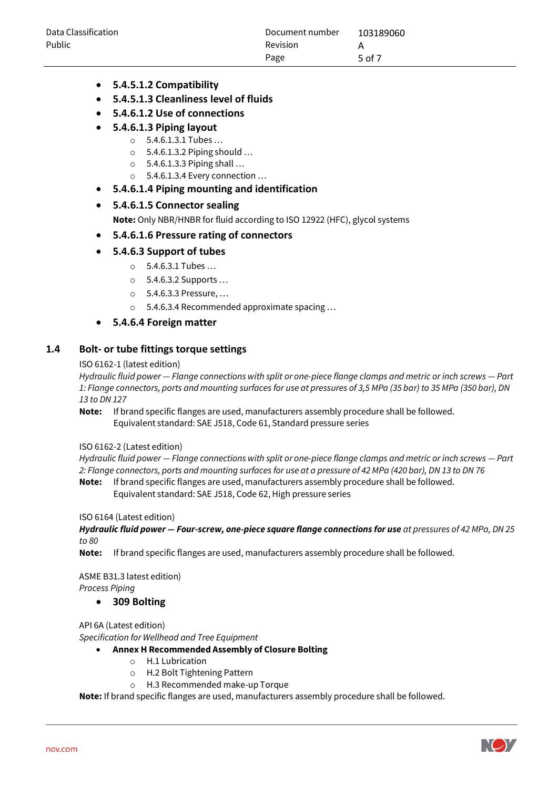| Data Classification | Document number | 103189060 |
|---------------------|-----------------|-----------|
| Public              | <b>Revision</b> |           |
|                     | Page            | 5 of 7    |

- **5.4.5.1.2 Compatibility**
- **5.4.5.1.3 Cleanliness level of fluids**
- **5.4.6.1.2 Use of connections**
- **5.4.6.1.3 Piping layout**
	- o 5.4.6.1.3.1 Tubes …
	- $\circ$  5.4.6.1.3.2 Piping should ...
	- o 5.4.6.1.3.3 Piping shall …
	- o 5.4.6.1.3.4 Every connection …
- **5.4.6.1.4 Piping mounting and identification**

#### • **5.4.6.1.5 Connector sealing**

**Note:** Only NBR/HNBR for fluid according to ISO 12922 (HFC), glycol systems

• **5.4.6.1.6 Pressure rating of connectors**

#### • **5.4.6.3 Support of tubes**

- o 5.4.6.3.1 Tubes …
- o 5.4.6.3.2 Supports …
- o 5.4.6.3.3 Pressure, …
- o 5.4.6.3.4 Recommended approximate spacing …

#### • **5.4.6.4 Foreign matter**

#### <span id="page-4-0"></span>**1.4 Bolt- or tube fittings torque settings**

#### ISO 6162-1 (latest edition)

*Hydraulic fluid power — Flange connections with split or one-piece flange clamps and metric or inch screws — Part 1: Flange connectors, ports and mounting surfaces for use at pressures of 3,5 MPa (35 bar) to 35 MPa (350 bar), DN 13 to DN 127*

**Note:** If brand specific flanges are used, manufacturers assembly procedure shall be followed. Equivalent standard: SAE J518, Code 61, Standard pressure series

#### ISO 6162-2 (Latest edition)

*Hydraulic fluid power — Flange connections with split or one-piece flange clamps and metric or inch screws — Part 2: Flange connectors, ports and mounting surfaces for use at a pressure of 42 MPa (420 bar), DN 13 to DN 76*

**Note:** If brand specific flanges are used, manufacturers assembly procedure shall be followed. Equivalent standard: SAE J518, Code 62, High pressure series

#### ISO 6164 (Latest edition)

*Hydraulic fluid power — Four-screw, one-piece square flange connections for use at pressures of 42 MPa, DN 25 to 80*

**Note:** If brand specific flanges are used, manufacturers assembly procedure shall be followed.

ASME B31.3 latest edition) *Process Piping*

#### • **309 Bolting**

API 6A (Latest edition)

*Specification for Wellhead and Tree Equipment*

- **Annex H Recommended Assembly of Closure Bolting**
	- o H.1 Lubrication
	- o H.2 Bolt Tightening Pattern
	- o H.3 Recommended make-up Torque

**Note:** If brand specific flanges are used, manufacturers assembly procedure shall be followed.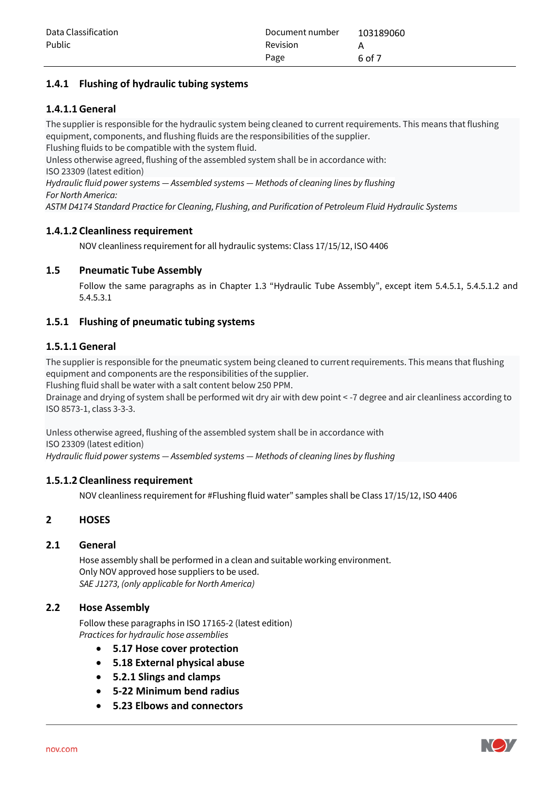## <span id="page-5-0"></span>**1.4.1 Flushing of hydraulic tubing systems**

## **1.4.1.1General**

The supplier is responsible for the hydraulic system being cleaned to current requirements. This means that flushing equipment, components, and flushing fluids are the responsibilities of the supplier.

Flushing fluids to be compatible with the system fluid. Unless otherwise agreed, flushing of the assembled system shall be in accordance with:

ISO 23309 (latest edition)

*Hydraulic fluid power systems — Assembled systems — Methods of cleaning lines by flushing For North America:*

*ASTM D4174 Standard Practice for Cleaning, Flushing, and Purification of Petroleum Fluid Hydraulic Systems*

## **1.4.1.2 Cleanliness requirement**

NOV cleanliness requirement for all hydraulic systems: Class 17/15/12, ISO 4406

## <span id="page-5-1"></span>**1.5 Pneumatic Tube Assembly**

Follow the same paragraphs as in Chapter 1.3 "Hydraulic Tube Assembly", except item 5.4.5.1, 5.4.5.1.2 and 5.4.5.3.1

## <span id="page-5-2"></span>**1.5.1 Flushing of pneumatic tubing systems**

## **1.5.1.1General**

The supplier is responsible for the pneumatic system being cleaned to current requirements. This means that flushing equipment and components are the responsibilities of the supplier.

Flushing fluid shall be water with a salt content below 250 PPM.

Drainage and drying of system shall be performed wit dry air with dew point < -7 degree and air cleanliness according to ISO 8573-1, class 3-3-3.

Unless otherwise agreed, flushing of the assembled system shall be in accordance with ISO 23309 (latest edition) *Hydraulic fluid power systems — Assembled systems — Methods of cleaning lines by flushing*

## **1.5.1.2 Cleanliness requirement**

NOV cleanliness requirement for #Flushing fluid water" samples shall be Class 17/15/12, ISO 4406

## <span id="page-5-3"></span>**2 HOSES**

## <span id="page-5-4"></span>**2.1 General**

Hose assembly shall be performed in a clean and suitable working environment. Only NOV approved hose suppliers to be used. *SAE J1273, (only applicable for North America)*

## <span id="page-5-5"></span>**2.2 Hose Assembly**

Follow these paragraphs in ISO 17165-2 (latest edition) *Practices for hydraulic hose assemblies*

- **5.17 Hose cover protection**
- **5.18 External physical abuse**
- **5.2.1 Slings and clamps**
- **5-22 Minimum bend radius**
- **5.23 Elbows and connectors**